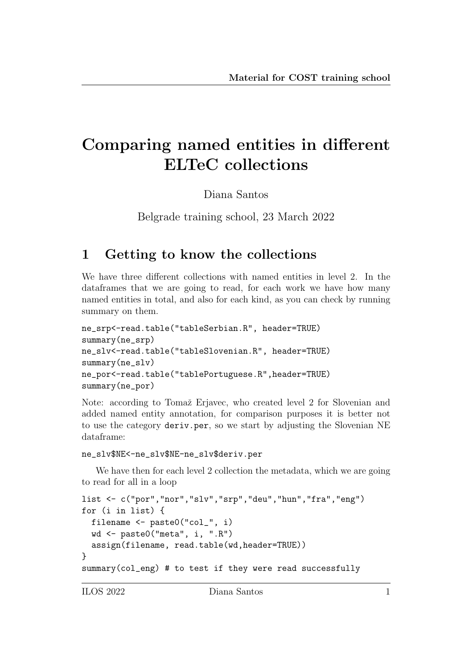# Comparing named entities in different ELTeC collections

Diana Santos

Belgrade training school, 23 March 2022

### 1 Getting to know the collections

We have three different collections with named entities in level 2. In the dataframes that we are going to read, for each work we have how many named entities in total, and also for each kind, as you can check by running summary on them.

```
ne_srp<-read.table("tableSerbian.R", header=TRUE)
summary(ne_srp)
ne_slv<-read.table("tableSlovenian.R", header=TRUE)
summary(ne_slv)
ne_por<-read.table("tablePortuguese.R",header=TRUE)
summary(ne_por)
```
Note: according to Tomaž Erjavec, who created level 2 for Slovenian and added named entity annotation, for comparison purposes it is better not to use the category deriv.per, so we start by adjusting the Slovenian NE dataframe:

```
ne_slv$NE<-ne_slv$NE-ne_slv$deriv.per
```
We have then for each level 2 collection the metadata, which we are going to read for all in a loop

```
list <- c("por","nor","slv","srp","deu","hun","fra","eng")
for (i in list) {
  filename <- paste0("col_", i)
 wd <- paste0("meta", i, ".R")
  assign(filename, read.table(wd,header=TRUE))
}
summary(col_eng) # to test if they were read successfully
```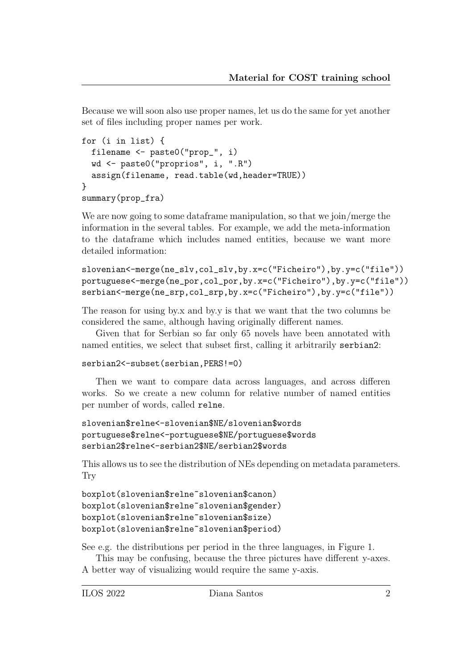Because we will soon also use proper names, let us do the same for yet another set of files including proper names per work.

```
for (i in list) {
  filename <- paste0("prop_", i)
  wd <- paste0("proprios", i, ".R")
  assign(filename, read.table(wd,header=TRUE))
}
summary(prop_fra)
```
We are now going to some data frame manipulation, so that we join/merge the information in the several tables. For example, we add the meta-information to the dataframe which includes named entities, because we want more detailed information:

```
slovenian<-merge(ne_slv,col_slv,by.x=c("Ficheiro"),by.y=c("file"))
portuguese<-merge(ne_por,col_por,by.x=c("Ficheiro"),by.y=c("file"))
serbian<-merge(ne_srp,col_srp,by.x=c("Ficheiro"),by.y=c("file"))
```
The reason for using by.x and by.y is that we want that the two columns be considered the same, although having originally different names.

Given that for Serbian so far only 65 novels have been annotated with named entities, we select that subset first, calling it arbitrarily serbian2:

```
serbian2<-subset(serbian, PERS!=0)
```
Then we want to compare data across languages, and across differen works. So we create a new column for relative number of named entities per number of words, called relne.

```
slovenian$relne<-slovenian$NE/slovenian$words
portuguese$relne<-portuguese$NE/portuguese$words
serbian2$relne<-serbian2$NE/serbian2$words
```
This allows us to see the distribution of NEs depending on metadata parameters. Try

```
boxplot(slovenian$relne~slovenian$canon)
boxplot(slovenian$relne~slovenian$gender)
boxplot(slovenian$relne~slovenian$size)
boxplot(slovenian$relne~slovenian$period)
```
See e.g. the distributions per period in the three languages, in Figure 1.

This may be confusing, because the three pictures have different y-axes. A better way of visualizing would require the same y-axis.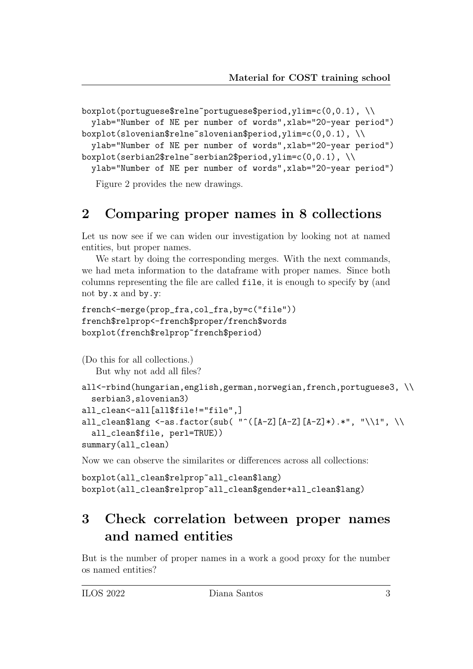```
boxplot(portuguese$relne~portuguese$period,ylim=c(0,0.1), \\
  ylab="Number of NE per number of words",xlab="20-year period")
```
boxplot(slovenian\$relne~slovenian\$period,ylim=c(0,0.1), \\

ylab="Number of NE per number of words",xlab="20-year period") boxplot(serbian2\$relne~serbian2\$period,ylim=c(0,0.1), \\

ylab="Number of NE per number of words",xlab="20-year period")

Figure 2 provides the new drawings.

#### 2 Comparing proper names in 8 collections

Let us now see if we can widen our investigation by looking not at named entities, but proper names.

We start by doing the corresponding merges. With the next commands, we had meta information to the dataframe with proper names. Since both columns representing the file are called file, it is enough to specify by (and not by.x and by.y:

```
french<-merge(prop_fra,col_fra,by=c("file"))
french$relprop<-french$proper/french$words
boxplot(french$relprop~french$period)
```
(Do this for all collections.) But why not add all files?

```
all<-rbind(hungarian,english,german,norwegian,french,portuguese3,\\
 serbian3,slovenian3)
all_clean<-all[all$file!="file",]
all_clean$lang <-as.factor(sub( "^([A-Z][A-Z][A-Z]*).*", "\\1", \\
 all_clean$file, perl=TRUE))
summary(all_clean)
```
Now we can observe the similarites or differences across all collections:

```
boxplot(all_clean$relprop~all_clean$lang)
boxplot(all_clean$relprop~all_clean$gender+all_clean$lang)
```
## 3 Check correlation between proper names and named entities

But is the number of proper names in a work a good proxy for the number os named entities?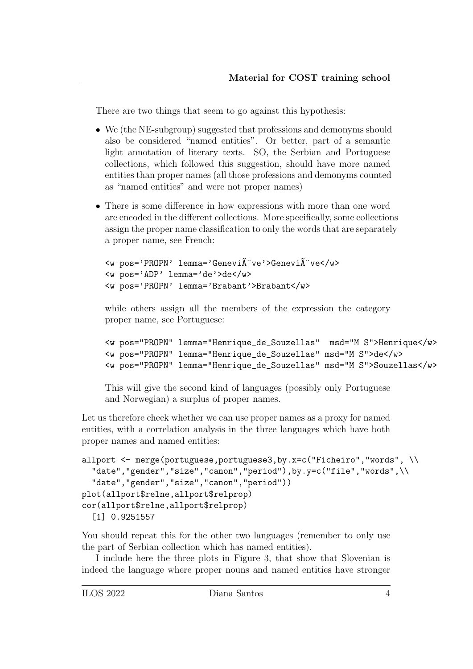There are two things that seem to go against this hypothesis:

- We (the NE-subgroup) suggested that professions and demonyms should also be considered "named entities". Or better, part of a semantic light annotation of literary texts. SO, the Serbian and Portuguese collections, which followed this suggestion, should have more named entities than proper names (all those professions and demonyms counted as "named entities" and were not proper names)
- There is some difference in how expressions with more than one word are encoded in the different collections. More specifically, some collections assign the proper name classification to only the words that are separately a proper name, see French:

```
<w pos='PROPN' lemma='Geneviève'>Geneviève</w>
<w pos='ADP' lemma='de'>de</w>
<w pos='PROPN' lemma='Brabant'>Brabant</w>
```
while others assign all the members of the expression the category proper name, see Portuguese:

```
<w pos="PROPN" lemma="Henrique_de_Souzellas" msd="M S">Henrique</w>
<w pos="PROPN" lemma="Henrique_de_Souzellas" msd="M S">de</w>
<w pos="PROPN" lemma="Henrique_de_Souzellas" msd="M S">Souzellas</w>
```
This will give the second kind of languages (possibly only Portuguese and Norwegian) a surplus of proper names.

Let us therefore check whether we can use proper names as a proxy for named entities, with a correlation analysis in the three languages which have both proper names and named entities:

```
allport <- merge(portuguese,portuguese3,by.x=c("Ficheiro","words", \\
  "date","gender","size","canon","period"),by.y=c("file","words",\\
  "date","gender","size","canon","period"))
plot(allport$relne,allport$relprop)
cor(allport$relne,allport$relprop)
  [1] 0.9251557
```
You should repeat this for the other two languages (remember to only use the part of Serbian collection which has named entities).

I include here the three plots in Figure 3, that show that Slovenian is indeed the language where proper nouns and named entities have stronger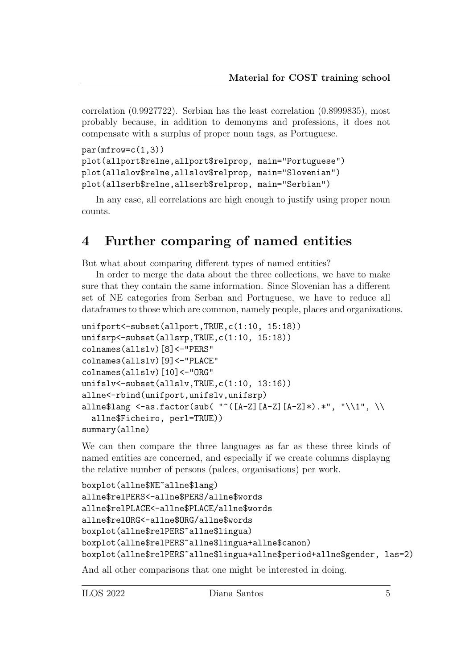correlation (0.9927722). Serbian has the least correlation (0.8999835), most probably because, in addition to demonyms and professions, it does not compensate with a surplus of proper noun tags, as Portuguese.

```
par(mfrow=c(1,3))plot(allport$relne,allport$relprop, main="Portuguese")
plot(allslov$relne,allslov$relprop, main="Slovenian")
plot(allserb$relne,allserb$relprop, main="Serbian")
```
In any case, all correlations are high enough to justify using proper noun counts.

#### 4 Further comparing of named entities

But what about comparing different types of named entities?

In order to merge the data about the three collections, we have to make sure that they contain the same information. Since Slovenian has a different set of NE categories from Serban and Portuguese, we have to reduce all dataframes to those which are common, namely people, places and organizations.

```
unifport<-subset(allport,TRUE,c(1:10, 15:18))
unifsrp<-subset(allsrp,TRUE,c(1:10, 15:18))
colnames(allslv)[8]<-"PERS"
colnames(allslv)[9]<-"PLACE"
colnames(allslv)[10]<-"ORG"
unifslv<-subset(allslv,TRUE,c(1:10, 13:16))
allne<-rbind(unifport,unifslv,unifsrp)
allne$lang <-as.factor(sub( "^([A-Z][A-Z][A-Z]*).*", "\\1", \\
  allne$Ficheiro, perl=TRUE))
summary(allne)
```
We can then compare the three languages as far as these three kinds of named entities are concerned, and especially if we create columns displayng the relative number of persons (palces, organisations) per work.

```
boxplot(allne$NE~allne$lang)
allne$relPERS<-allne$PERS/allne$words
allne$relPLACE<-allne$PLACE/allne$words
allne$relORG<-allne$ORG/allne$words
boxplot(allne$relPERS~allne$lingua)
boxplot(allne$relPERS~allne$lingua+allne$canon)
boxplot(allne$relPERS~allne$lingua+allne$period+allne$gender, las=2)
```
And all other comparisons that one might be interested in doing.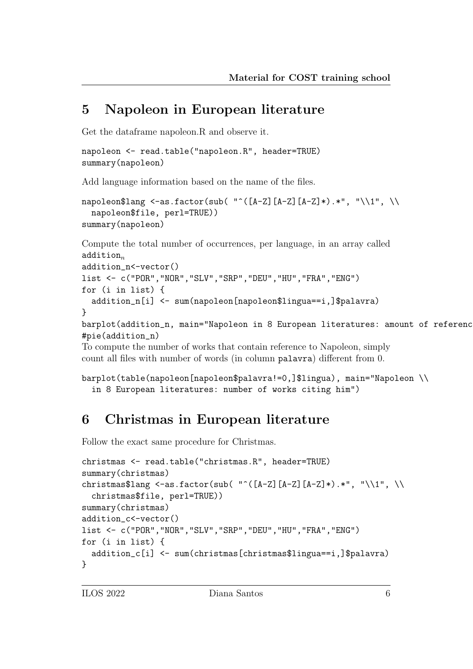## 5 Napoleon in European literature

Get the dataframe napoleon.R and observe it.

```
napoleon <- read.table("napoleon.R", header=TRUE)
summary(napoleon)
```
Add language information based on the name of the files.

```
napoleon$lang <-as.factor(sub( "^([A-Z][A-Z][A-Z]*).*", "\\1", \\
  napoleon$file, perl=TRUE))
summary(napoleon)
```
Compute the total number of occurrences, per language, in an array called  $addition_n$ 

```
addition_n<-vector()
list <- c("POR","NOR","SLV","SRP","DEU","HU","FRA","ENG")
for (i in list) {
  addition_n[i] <- sum(napoleon[napoleon$lingua==i,]$palavra)
}
```

```
barplot(addition_n, main="Napoleon in 8 European literatures: amount of referenc
#pie(addition_n)
```
To compute the number of works that contain reference to Napoleon, simply count all files with number of words (in column palavra) different from 0.

```
barplot(table(napoleon[napoleon$palavra!=0,]$lingua), main="Napoleon \\
  in 8 European literatures: number of works citing him")
```
# 6 Christmas in European literature

Follow the exact same procedure for Christmas.

```
christmas <- read.table("christmas.R", header=TRUE)
summary(christmas)
christmas$lang <-as.factor(sub( "^([A-Z][A-Z][A-Z]*).*", "\\1", \\
  christmas$file, perl=TRUE))
summary(christmas)
addition_c<-vector()
list <- c("POR","NOR","SLV","SRP","DEU","HU","FRA","ENG")
for (i in list) {
  addition_c[i] <- sum(christmas[christmas$lingua==i,]$palavra)
}
```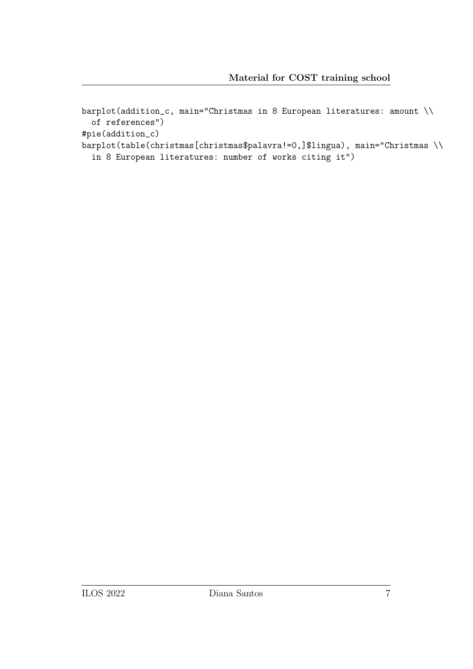barplot(addition\_c, main="Christmas in 8 European literatures: amount \\ of references")

#pie(addition\_c)

barplot(table(christmas[christmas\$palavra!=0,]\$lingua), main="Christmas \\

in 8 European literatures: number of works citing it")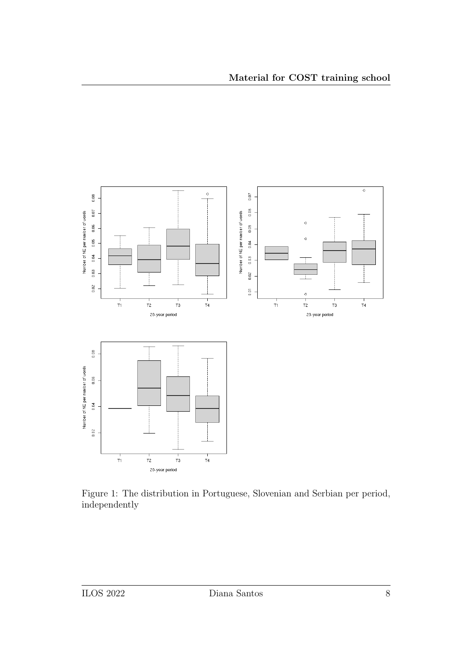

Figure 1: The distribution in Portuguese, Slovenian and Serbian per period, independently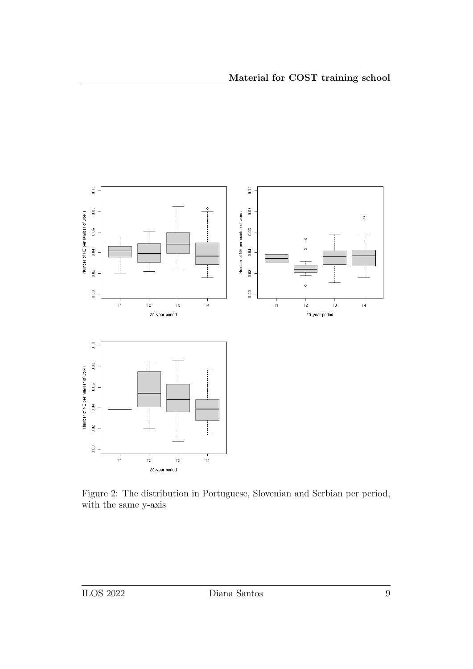

Figure 2: The distribution in Portuguese, Slovenian and Serbian per period, with the same y-axis